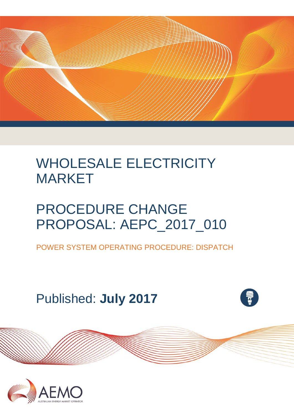

# WHOLESALE ELECTRICITY MARKET

# PROCEDURE CHANGE PROPOSAL: AEPC\_2017\_010

POWER SYSTEM OPERATING PROCEDURE: DISPATCH

Published: **July 2017**



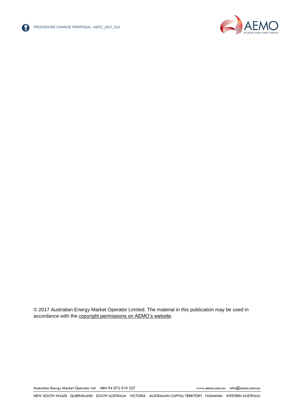



© 2017 Australian Energy Market Operator Limited. The material in this publication may be used in accordance with the [copyright permissions on AEMO's website.](http://aemo.com.au/Privacy_and_Legal_Notices/Copyright_Permissions_Notice)

Australian Energy Market Operator Ltd ABN 94 072 010 327 [www.aemo.com.au](http://www.aemo.com.au/) [info@aemo.com.au](mailto:info@aemo.com.au)

NEW SOUTH WALES QUEENSLAND SOUTH AUSTRALIA VICTORIA AUSTRALIAN CAPITAL TERRITORY TASMANIA WESTERN AUSTRALIA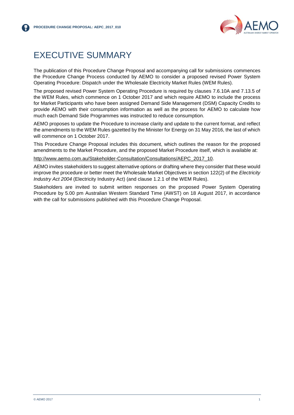

# <span id="page-2-0"></span>EXECUTIVE SUMMARY

The publication of this Procedure Change Proposal and accompanying call for submissions commences the Procedure Change Process conducted by AEMO to consider a proposed revised Power System Operating Procedure: Dispatch under the Wholesale Electricity Market Rules (WEM Rules).

The proposed revised Power System Operating Procedure is required by clauses 7.6.10A and 7.13.5 of the WEM Rules, which commence on 1 October 2017 and which require AEMO to include the process for Market Participants who have been assigned Demand Side Management (DSM) Capacity Credits to provide AEMO with their consumption information as well as the process for AEMO to calculate how much each Demand Side Programmes was instructed to reduce consumption.

AEMO proposes to update the Procedure to increase clarity and update to the current format, and reflect the amendments to the WEM Rules gazetted by the Minister for Energy on 31 May 2016, the last of which will commence on 1 October 2017.

This Procedure Change Proposal includes this document, which outlines the reason for the proposed amendments to the Market Procedure, and the proposed Market Procedure itself, which is available at:

[http://www.aemo.com.au/Stakeholder-Consultation/Consultations/AEPC\\_2017\\_10.](http://www.aemo.com.au/Stakeholder-Consultation/Consultations/AEPC_2017_10)

AEMO invites stakeholders to suggest alternative options or drafting where they consider that these would improve the procedure or better meet the Wholesale Market Objectives in section 122(2) of the *Electricity Industry Act 2004* (Electricity Industry Act) (and clause 1.2.1 of the WEM Rules).

Stakeholders are invited to submit written responses on the proposed Power System Operating Procedure by 5.00 pm Australian Western Standard Time (AWST) on 18 August 2017, in accordance with the call for submissions published with this Procedure Change Proposal.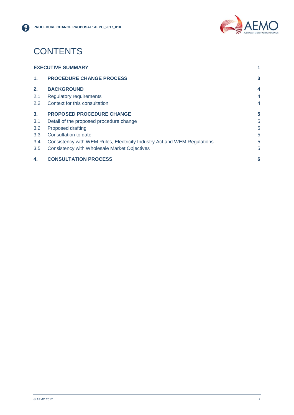

# **CONTENTS**

| <b>EXECUTIVE SUMMARY</b> |                                                                          |                |
|--------------------------|--------------------------------------------------------------------------|----------------|
| $\mathbf{1}$ .           | <b>PROCEDURE CHANGE PROCESS</b>                                          | 3              |
| 2.                       | <b>BACKGROUND</b>                                                        | 4              |
| 2.1                      | <b>Regulatory requirements</b>                                           | $\overline{4}$ |
| $2.2^{\circ}$            | Context for this consultation                                            | 4              |
| 3 <sub>1</sub>           | <b>PROPOSED PROCEDURE CHANGE</b>                                         | 5              |
| 3.1                      | Detail of the proposed procedure change                                  | 5              |
| 3.2                      | Proposed drafting                                                        | 5              |
| 3.3                      | Consultation to date                                                     | 5              |
| 3.4                      | Consistency with WEM Rules, Electricity Industry Act and WEM Regulations | 5              |
| 3.5                      | Consistency with Wholesale Market Objectives                             | 5              |
| 4.                       | <b>CONSULTATION PROCESS</b>                                              | 6              |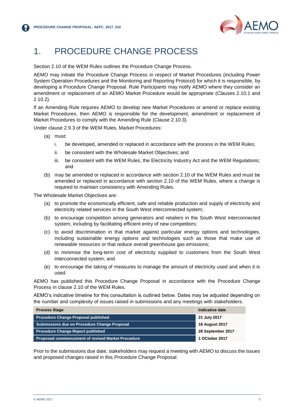

# <span id="page-4-0"></span>1. PROCEDURE CHANGE PROCESS

Section 2.10 of the WEM Rules outlines the Procedure Change Process.

AEMO may initiate the Procedure Change Process in respect of Market Procedures (including Power System Operation Procedures and the Monitoring and Reporting Protocol) for which it is responsible, by developing a Procedure Change Proposal. Rule Participants may notify AEMO where they consider an amendment or replacement of an AEMO Market Procedure would be appropriate (Clauses 2.10.1 and 2.10.2).

If an Amending Rule requires AEMO to develop new Market Procedures or amend or replace existing Market Procedures, then AEMO is responsible for the development, amendment or replacement of Market Procedures to comply with the Amending Rule (Clause 2.10.3).

Under clause 2.9.3 of the WEM Rules, Market Procedures:

- (a) must:
	- i. be developed, amended or replaced in accordance with the process in the WEM Rules;
	- ii. be consistent with the Wholesale Market Objectives; and
	- iii. be consistent with the WEM Rules, the Electricity Industry Act and the WEM Regulations; and
- (b) may be amended or replaced in accordance with section 2.10 of the WEM Rules and must be amended or replaced in accordance with section 2.10 of the WEM Rules, where a change is required to maintain consistency with Amending Rules.

The Wholesale Market Objectives are:

- (a) to promote the economically efficient, safe and reliable production and supply of electricity and electricity related services in the South West interconnected system;
- (b) to encourage competition among generators and retailers in the South West interconnected system, including by facilitating efficient entry of new competitors;
- (c) to avoid discrimination in that market against particular energy options and technologies, including sustainable energy options and technologies such as those that make use of renewable resources or that reduce overall greenhouse gas emissions;
- (d) to minimise the long-term cost of electricity supplied to customers from the South West interconnected system; and
- (e) to encourage the taking of measures to manage the amount of electricity used and when it is used.

AEMO has published this Procedure Change Proposal in accordance with the Procedure Change Process in clause 2.10 of the WEM Rules.

AEMO's indicative timeline for this consultation is outlined below. Dates may be adjusted depending on the number and complexity of issues raised in submissions and any meetings with stakeholders.

| <b>Process Stage</b>                                     | Indicative date       |
|----------------------------------------------------------|-----------------------|
| <b>Procedure Change Proposal published</b>               | 21 July 2017          |
| Submissions due on Procedure Change Proposal             | <b>18 August 2017</b> |
| <b>Procedure Change Report published</b>                 | 28 September 2017     |
| <b>Proposed commencement of revised Market Procedure</b> | 1 OCtober 2017        |

Prior to the submissions due date, stakeholders may request a meeting with AEMO to discuss the issues and proposed changes raised in this Procedure Change Proposal.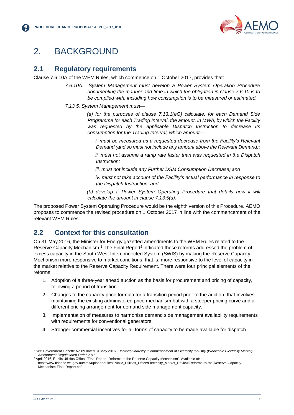

# <span id="page-5-0"></span>2. BACKGROUND

#### <span id="page-5-1"></span>**2.1 Regulatory requirements**

Clause 7.6.10A of the WEM Rules, which commence on 1 October 2017, provides that:

*7.6.10A. System Management must develop a Power System Operation Procedure documenting the manner and time in which the obligation in clause 7.6.10 is to be complied with, including how consumption is to be measured or estimated.*

*7.13.5. System Management must—*

*(a) for the purposes of clause 7.13.1(eG) calculate, for each Demand Side Programme for each Trading Interval, the amount, in MWh, by which the Facility was requested by the applicable Dispatch Instruction to decrease its consumption for the Trading Interval, which amount—*

*i. must be measured as a requested decrease from the Facility's Relevant Demand (and so must not include any amount above the Relevant Demand);* 

*ii. must not assume a ramp rate faster than was requested in the Dispatch Instruction;* 

*iii. must not include any Further DSM Consumption Decrease; and* 

*iv. must not take account of the Facility's actual performance in response to the Dispatch Instruction; and* 

*(b) develop a Power System Operating Procedure that details how it will calculate the amount in clause 7.13.5(a).*

The proposed Power System Operating Procedure would be the eighth version of this Procedure. AEMO proposes to commence the revised procedure on 1 October 2017 in line with the commencement of the relevant WEM Rules

### <span id="page-5-2"></span>**2.2 Context for this consultation**

On 31 May 2016, the Minister for Energy gazetted amendments to the WEM Rules related to the Reserve Capacity Mechanism.<sup>1</sup> The Final Report<sup>2</sup> indicated these reforms addressed the problem of excess capacity in the South West Interconnected System (SWIS) by making the Reserve Capacity Mechanism more responsive to market conditions; that is, more responsive to the level of capacity in the market relative to the Reserve Capacity Requirement. There were four principal elements of the reforms:

- 1. Adoption of a three-year ahead auction as the basis for procurement and pricing of capacity, following a period of transition.
- 2. Changes to the capacity price formula for a transition period prior to the auction, that involves maintaining the existing administered price mechanism but with a steeper pricing curve and a different pricing arrangement for demand side management capacity.
- 3. Implementation of measures to harmonise demand side management availability requirements with requirements for conventional generators.
- 4. Stronger commercial incentives for all forms of capacity to be made available for dispatch.

l <sup>1</sup> See Government Gazette No.89 dated 31 May 2016, *Electricity Industry (Commencement of Electricity Industry (Wholesale Electricity Market) Amendment Regulations) Order 2016*.

April 2016, Public Utilities Office, "Final Report: Reforms to the Reserve Capacity Mechanism". Available at: http://www.finance.wa.gov.au/cms/uploadedFiles/Public\_Utilities\_Office/Electricity\_Market\_Review/Reforms-to-the-Reserve-Capacity-Mechanism-Final-Report.pdf.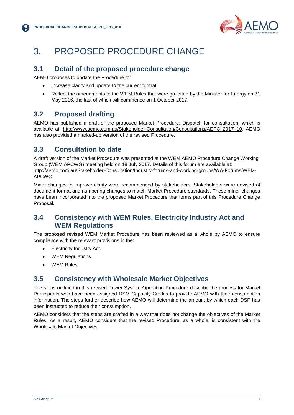

# <span id="page-6-0"></span>3. PROPOSED PROCEDURE CHANGE

#### <span id="page-6-1"></span>**3.1 Detail of the proposed procedure change**

AEMO proposes to update the Procedure to:

- Increase clarity and update to the current format.
- Reflect the amendments to the WEM Rules that were gazetted by the Minister for Energy on 31 May 2016, the last of which will commence on 1 October 2017.

#### <span id="page-6-2"></span>**3.2 Proposed drafting**

AEMO has published a draft of the proposed Market Procedure: Dispatch for consultation, which is available at: [http://www.aemo.com.au/Stakeholder-Consultation/Consultations/AEPC\\_2017\\_10.](http://www.aemo.com.au/Stakeholder-Consultation/Consultations/AEPC_2017_10) AEMO has also provided a marked-up version of the revised Procedure.

### <span id="page-6-3"></span>**3.3 Consultation to date**

A draft version of the Market Procedure was presented at the WEM AEMO Procedure Change Working Group (WEM APCWG) meeting held on 18 July 2017. Details of this forum are available at: http://aemo.com.au/Stakeholder-Consultation/Industry-forums-and-working-groups/WA-Forums/WEM-APCWG.

Minor changes to improve clarity were recommended by stakeholders. Stakeholders were advised of document format and numbering changes to match Market Procedure standards. These minor changes have been incorporated into the proposed Market Procedure that forms part of this Procedure Change Proposal.

#### <span id="page-6-4"></span>**3.4 Consistency with WEM Rules, Electricity Industry Act and WEM Regulations**

The proposed revised WEM Market Procedure has been reviewed as a whole by AEMO to ensure compliance with the relevant provisions in the:

- Electricity Industry Act.
- WEM Regulations.
- WEM Rules.

#### <span id="page-6-5"></span>**3.5 Consistency with Wholesale Market Objectives**

The steps outlined in this revised Power System Operating Procedure describe the process for Market Participants who have been assigned DSM Capacity Credits to provide AEMO with their consumption information. The steps further describe how AEMO will determine the amount by which each DSP has been instructed to reduce their consumption.

AEMO considers that the steps are drafted in a way that does not change the objectives of the Market Rules. As a result, AEMO considers that the revised Procedure, as a whole, is consistent with the Wholesale Market Objectives.